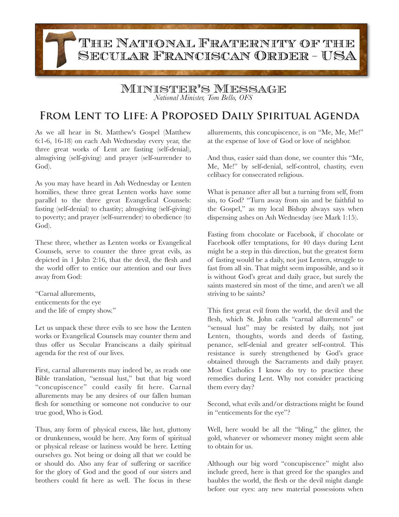## THE NATIONAL FRATERNITY OF THE SECULAR FRANCISCAN ORDER - USA

## Minister's Message

*National Minister, Tom Bello, OFS*

## **From Lent to Life: A Proposed Daily Spiritual Agenda**

As we all hear in St. Matthew's Gospel (Matthew 6:1-6, 16-18) on each Ash Wednesday every year, the three great works of Lent are fasting (self-denial), almsgiving (self-giving) and prayer (self-surrender to God).

As you may have heard in Ash Wednesday or Lenten homilies, these three great Lenten works have some parallel to the three great Evangelical Counsels: fasting (self-denial) to chastity; almsgiving (self-giving) to poverty; and prayer (self-surrender) to obedience (to God).

These three, whether as Lenten works or Evangelical Counsels, serve to counter the three great evils, as depicted in 1 John 2:16, that the devil, the flesh and the world offer to entice our attention and our lives away from God:

"Carnal allurements, enticements for the eye and the life of empty show."

Let us unpack these three evils to see how the Lenten works or Evangelical Counsels may counter them and thus offer us Secular Franciscans a daily spiritual agenda for the rest of our lives.

First, carnal allurements may indeed be, as reads one Bible translation, "sensual lust," but that big word "concupiscence" could easily fit here. Carnal allurements may be any desires of our fallen human flesh for something or someone not conducive to our true good, Who is God.

Thus, any form of physical excess, like lust, gluttony or drunkenness, would be here. Any form of spiritual or physical release or laziness would be here. Letting ourselves go. Not being or doing all that we could be or should do. Also any fear of suffering or sacrifice for the glory of God and the good of our sisters and brothers could fit here as well. The focus in these allurements, this concupiscence, is on "Me, Me, Me!" at the expense of love of God or love of neighbor.

And thus, easier said than done, we counter this "Me, Me, Me!" by self-denial, self-control, chastity, even celibacy for consecrated religious.

What is penance after all but a turning from self, from sin, to God? "Turn away from sin and be faithful to the Gospel," as my local Bishop always says when dispensing ashes on Ash Wednesday (see Mark 1:15).

Fasting from chocolate or Facebook, if chocolate or Facebook offer temptations, for 40 days during Lent might be a step in this direction, but the greatest form of fasting would be a daily, not just Lenten, struggle to fast from all sin. That might seem impossible, and so it is without God's great and daily grace, but surely the saints mastered sin most of the time, and aren't we all striving to be saints?

This first great evil from the world, the devil and the flesh, which St. John calls "carnal allurements" or "sensual lust" may be resisted by daily, not just Lenten, thoughts, words and deeds of fasting, penance, self-denial and greater self-control. This resistance is surely strengthened by God's grace obtained through the Sacraments and daily prayer. Most Catholics I know do try to practice these remedies during Lent. Why not consider practicing them every day?

Second, what evils and/or distractions might be found in "enticements for the eye"?

Well, here would be all the "bling," the glitter, the gold, whatever or whomever money might seem able to obtain for us.

Although our big word "concupiscence" might also include greed, here is that greed for the spangles and baubles the world, the flesh or the devil might dangle before our eyes: any new material possessions when